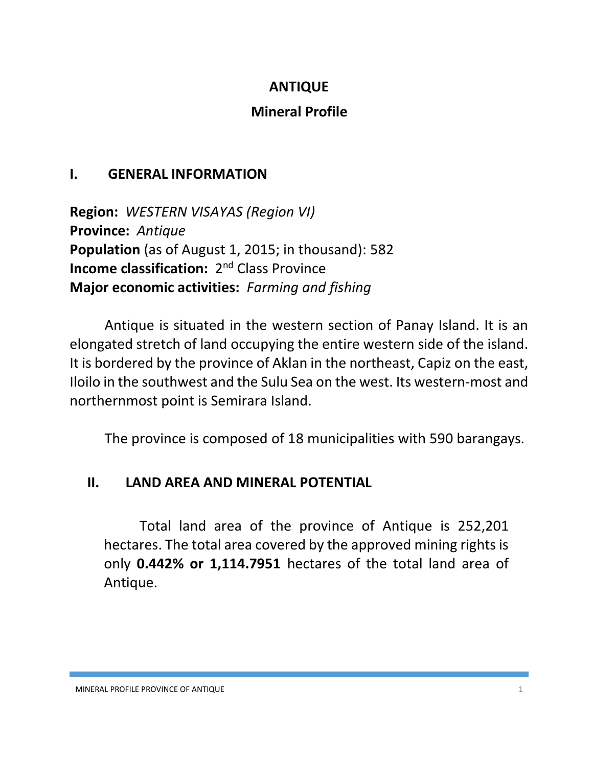## **ANTIQUE**

## **Mineral Profile**

## **I. GENERAL INFORMATION**

**Region:** *WESTERN VISAYAS (Region VI)* **Province:** *Antique* **Population** (as of August 1, 2015; in thousand): 582 **Income classification:** 2<sup>nd</sup> Class Province **Major economic activities:** *Farming and fishing*

Antique is situated in the western section of Panay Island. It is an elongated stretch of land occupying the entire western side of the island. It is bordered by the province of Aklan in the northeast, Capiz on the east, Iloilo in the southwest and the Sulu Sea on the west. Its western-most and northernmost point is Semirara Island.

The province is composed of 18 municipalities with 590 barangays.

## **II. LAND AREA AND MINERAL POTENTIAL**

Total land area of the province of Antique is 252,201 hectares. The total area covered by the approved mining rights is only **0.442% or 1,114.7951** hectares of the total land area of Antique.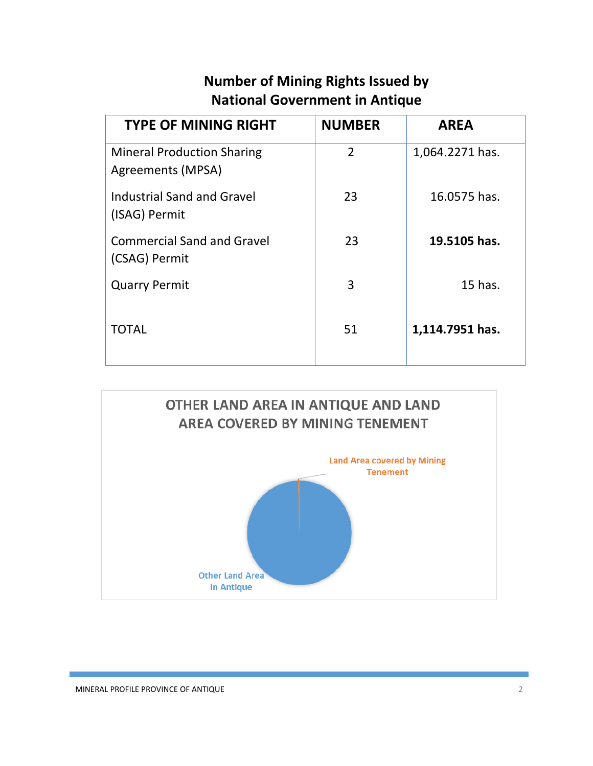# **Number of Mining Rights Issued by National Government in Antique**

| <b>TYPE OF MINING RIGHT</b>                            | <b>NUMBER</b>  | <b>AREA</b>     |
|--------------------------------------------------------|----------------|-----------------|
| <b>Mineral Production Sharing</b><br>Agreements (MPSA) | $\overline{2}$ | 1,064.2271 has. |
| <b>Industrial Sand and Gravel</b><br>(ISAG) Permit     | 23             | 16.0575 has.    |
| <b>Commercial Sand and Gravel</b><br>(CSAG) Permit     | 23             | 19.5105 has.    |
| <b>Quarry Permit</b>                                   | 3              | 15 has.         |
| <b>TOTAL</b>                                           | 51             | 1,114.7951 has. |

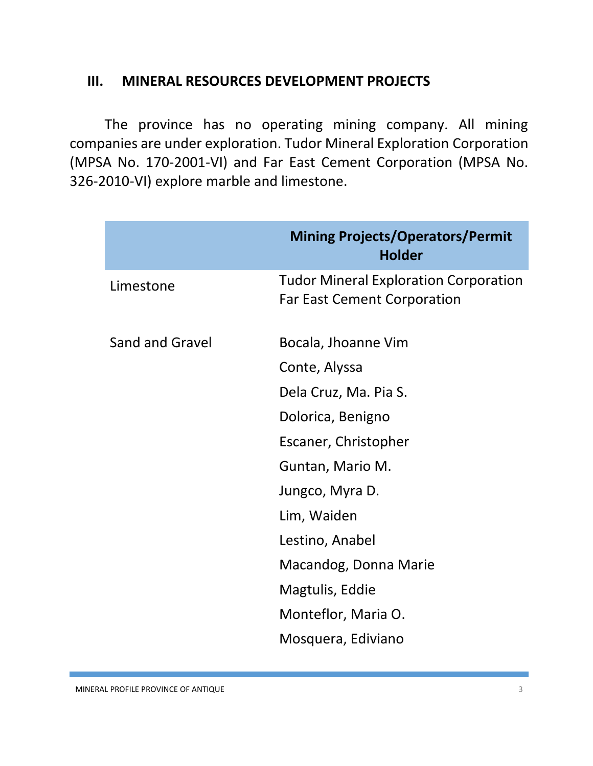#### **III. MINERAL RESOURCES DEVELOPMENT PROJECTS**

The province has no operating mining company. All mining companies are under exploration. Tudor Mineral Exploration Corporation (MPSA No. 170-2001-VI) and Far East Cement Corporation (MPSA No. 326-2010-VI) explore marble and limestone.

|                 | <b>Mining Projects/Operators/Permit</b><br><b>Holder</b>                           |
|-----------------|------------------------------------------------------------------------------------|
| Limestone       | <b>Tudor Mineral Exploration Corporation</b><br><b>Far East Cement Corporation</b> |
| Sand and Gravel | Bocala, Jhoanne Vim                                                                |
|                 | Conte, Alyssa                                                                      |
|                 | Dela Cruz, Ma. Pia S.                                                              |
|                 | Dolorica, Benigno                                                                  |
|                 | Escaner, Christopher                                                               |
|                 | Guntan, Mario M.                                                                   |
|                 | Jungco, Myra D.                                                                    |
|                 | Lim, Waiden                                                                        |
|                 | Lestino, Anabel                                                                    |
|                 | Macandog, Donna Marie                                                              |
|                 | Magtulis, Eddie                                                                    |
|                 | Monteflor, Maria O.                                                                |
|                 | Mosquera, Ediviano                                                                 |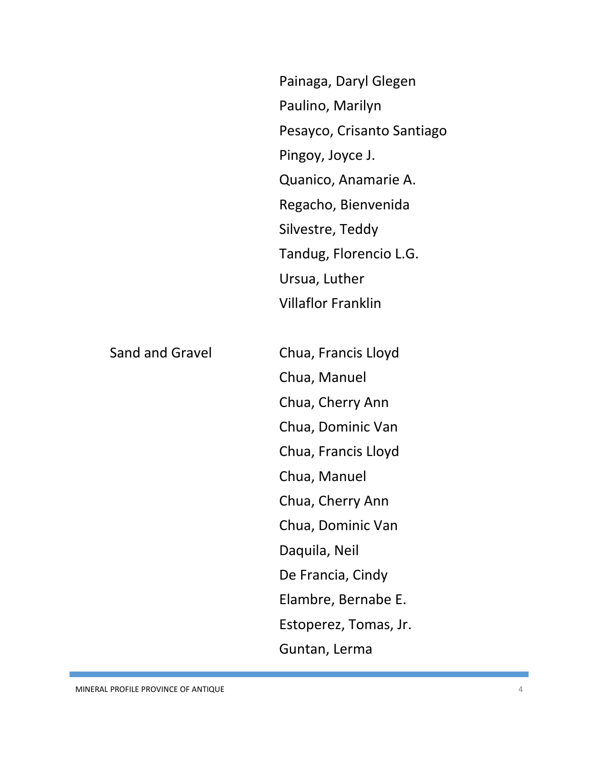| Painaga, Daryl Glegen      |
|----------------------------|
| Paulino, Marilyn           |
| Pesayco, Crisanto Santiago |
| Pingoy, Joyce J.           |
| Quanico, Anamarie A.       |
| Regacho, Bienvenida        |
| Silvestre, Teddy           |
| Tandug, Florencio L.G.     |
| Ursua, Luther              |
| <b>Villaflor Franklin</b>  |
|                            |
| Chua, Francis Lloyd        |
| Chua, Manuel               |
| Chua, Cherry Ann           |
| Chua, Dominic Van          |
|                            |

Sand and Gravel

Chua, Francis Lloyd Chua, Manuel Chua, Cherry Ann Chua, Dominic Van Daquila, Neil De Francia, Cindy Elambre, Bernabe E. Estoperez, Tomas, Jr. Guntan, Lerma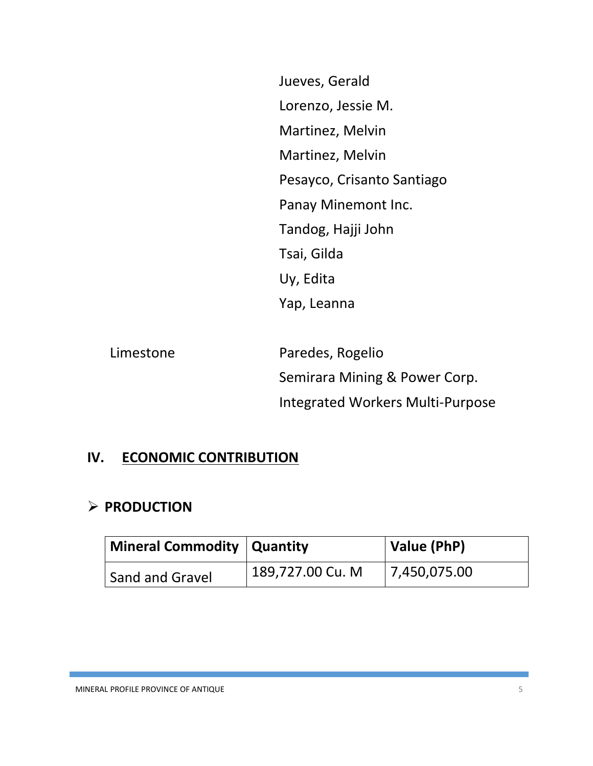Jueves, Gerald Lorenzo, Jessie M. Martinez, Melvin Martinez, Melvin Pesayco, Crisanto Santiago Panay Minemont Inc. Tandog, Hajji John Tsai, Gilda Uy, Edita Yap, Leanna

| Limestone | Paredes, Rogelio                 |
|-----------|----------------------------------|
|           | Semirara Mining & Power Corp.    |
|           | Integrated Workers Multi-Purpose |

#### **IV. ECONOMIC CONTRIBUTION**

#### **PRODUCTION**

| <b>Mineral Commodity   Quantity</b> |                  | Value (PhP)  |  |
|-------------------------------------|------------------|--------------|--|
| Sand and Gravel                     | 189,727.00 Cu. M | 7,450,075.00 |  |